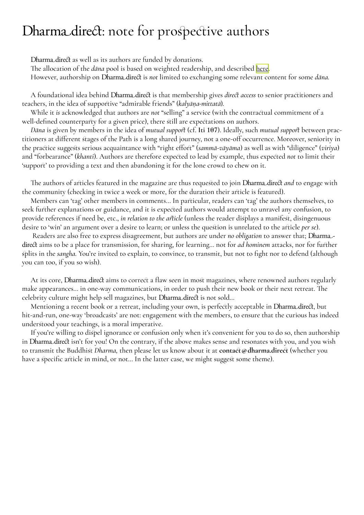## Dharmadirect: note for prospective authors

Dharmadirect as well as its authors are funded by donations.

The allocation of the *dāna* pool is based on weighted readership, and described [here](https://dharma.direct/Dd-dana_distrib.pdf).

However, authorship on Dharmadirect is *not* limited to exchanging some relevant content for some *dāna.*

A foundational idea behind Dharmadirect is that membership gives *direct access* to senior practitioners and teachers, in the idea of supportive "admirable friends" (*kalyāṇa-mittatā*).

While it *is* acknowledged that authors are *not* "selling" a service (with the contractual commitment of a well-defined counterparty for a given price), there still are expectations on authors.

*Dāna* is given by members in the idea of *mutual support* (cf. **[Iti 107](https://suttacentral.net/iti107/en/ireland)**). Ideally, such *mutual support* between practitioners at different stages of the Path is a long shared journey, not a one-off occurrence. Moreover, seniority in the practice suggests serious acquaintance with "right effort" (*sammā-vāyāma*) as well as with "diligence" (*viriya*) and "forbearance" (*khanti*). Authors are therefore expected to lead by example, thus expected *not* to limit their 'support' to providing a text and then abandoning it for the lone crowd to chew on it.

The authors of articles featured in the magazine are thus requested to join Dharmadirect *and* to engage with the community (checking in twice a week or more, for the duration their article is featured).

Members can 'tag' other members in comments… In particular, readers can 'tag' the authors themselves, to seek further explanations or guidance, and it is expected authors would attempt to unravel any confusion, to provide references if need be, etc., *in relation to the article* (unless the reader displays a manifest, disingenuous desire to 'win' an argument over a desire to learn; or unless the question is unrelated to the article *per se*).

 Readers are also free to express disagreement, but authors are under *no obligation* to answer that; Dharmadirect aims to be a place for transmission, for sharing, for learning… not for *ad hominem* attacks, nor for further splits in the *sangha.* You're invited to explain, to convince, to transmit, but not to fight nor to defend (although you can too, if you so wish).

At its core, Dharmadirect aims to correct a flaw seen in most magazines, where renowned authors regularly make appearances… in one-way communications, in order to push their new book or their next retreat. The celebrity culture might help sell magazines, but Dharmadirect is not sold…

Mentioning a recent book or a retreat, including your own, is perfectly acceptable in Dharmadirect, but hit-and-run, one-way 'broadcasts' are not: engagement with the members, to ensure that the curious has indeed understood your teachings, is a moral imperative.

If you're willing to dispel ignorance or confusion only when it's convenient for you to do so, then authorship in Dharmadirect isn't for you! On the contrary, if the above makes sense and resonates with you, and you wish to transmit the Buddhist *Dharma,* then please let us know about it at **contact @ dharma.direct** (whether you have a specific article in mind, or not... In the latter case, we might suggest some theme).